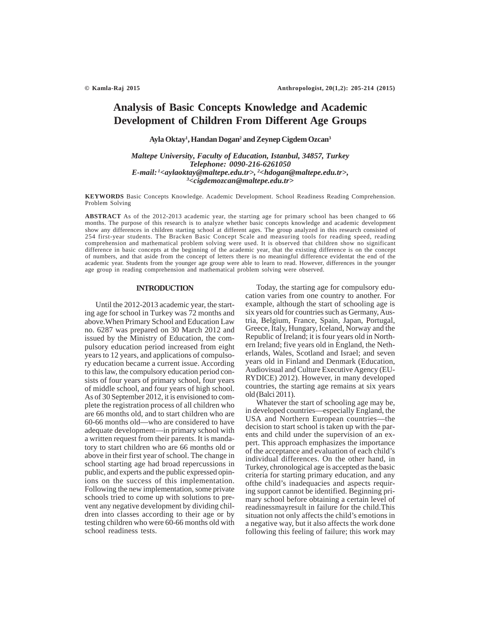# **Analysis of Basic Concepts Knowledge and Academic Development of Children From Different Age Groups**

**Ayla Oktay1 , Handan Dogan2 and Zeynep Cigdem Ozcan3**

*Maltepe University, Faculty of Education, Istanbul, 34857, Turkey Telephone: 0090-216-6261050 E-mail: 1<aylaoktay@maltepe.edu.tr>, 2 <hdogan@maltepe.edu.tr>, 3 <cigdemozcan@maltepe.edu.tr>*

**KEYWORDS** Basic Concepts Knowledge. Academic Development. School Readiness Reading Comprehension. Problem Solving

**ABSTRACT** As of the 2012-2013 academic year, the starting age for primary school has been changed to 66 months. The purpose of this research is to analyze whether basic concepts knowledge and academic development show any differences in children starting school at different ages. The group analyzed in this research consisted of 254 first-year students. The Bracken Basic Concept Scale and measuring tools for reading speed, reading comprehension and mathematical problem solving were used. It is observed that children show no significant difference in basic concepts at the beginning of the academic year, that the existing difference is on the concept of numbers, and that aside from the concept of letters there is no meaningful difference evidentat the end of the academic year. Students from the younger age group were able to learn to read. However, differences in the younger age group in reading comprehension and mathematical problem solving were observed.

# **INTRODUCTION**

Until the 2012-2013 academic year, the starting age for school in Turkey was 72 months and above.When Primary School and Education Law no. 6287 was prepared on 30 March 2012 and issued by the Ministry of Education, the compulsory education period increased from eight years to 12 years, and applications of compulsory education became a current issue. According to this law, the compulsory education period consists of four years of primary school, four years of middle school, and four years of high school. As of 30 September 2012, it is envisioned to complete the registration process of all children who are 66 months old, and to start children who are 60-66 months old—who are considered to have adequate development—in primary school with a written request from their parents. It is mandatory to start children who are 66 months old or above in their first year of school. The change in school starting age had broad repercussions in public, and experts and the public expressed opinions on the success of this implementation. Following the new implementation, some private schools tried to come up with solutions to prevent any negative development by dividing children into classes according to their age or by testing children who were 60-66 months old with school readiness tests.

Today, the starting age for compulsory education varies from one country to another. For example, although the start of schooling age is six years old for countries such as Germany, Austria, Belgium, France, Spain, Japan, Portugal, Greece, Italy, Hungary, Iceland, Norway and the Republic of Ireland; it is four years old in Northern Ireland; five years old in England, the Netherlands, Wales, Scotland and Israel; and seven years old in Finland and Denmark (Education, Audiovisual and Culture Executive Agency (EU-RYDICE) 2012). However, in many developed countries, the starting age remains at six years old (Balci 2011).

Whatever the start of schooling age may be, in developed countries—especially England, the USA and Northern European countries—the decision to start school is taken up with the parents and child under the supervision of an expert. This approach emphasizes the importance of the acceptance and evaluation of each child's individual differences. On the other hand, in Turkey, chronological age is accepted as the basic criteria for starting primary education, and any ofthe child's inadequacies and aspects requiring support cannot be identified. Beginning primary school before obtaining a certain level of readinessmayresult in failure for the child.This situation not only affects the child's emotions in a negative way, but it also affects the work done following this feeling of failure; this work may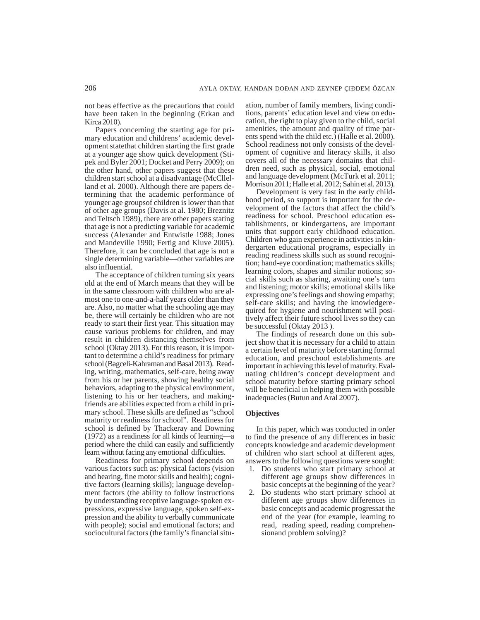not beas effective as the precautions that could have been taken in the beginning (Erkan and Kirca 2010).

Papers concerning the starting age for primary education and childrens' academic development statethat children starting the first grade at a younger age show quick development (Stipek and Byler 2001; Docket and Perry 2009); on the other hand, other papers suggest that these children start school at a disadvantage (McCllelland et al. 2000). Although there are papers determining that the academic performance of younger age groupsof children is lower than that of other age groups (Davis at al. 1980; Breznitz and Teltsch 1989), there are other papers stating that age is not a predicting variable for academic success (Alexander and Entwistle 1988; Jones and Mandeville 1990; Fertig and Kluve 2005). Therefore, it can be concluded that age is not a single determining variable—other variables are also influential.

The acceptance of children turning six years old at the end of March means that they will be in the same classroom with children who are almost one to one-and-a-half years older than they are. Also, no matter what the schooling age may be, there will certainly be children who are not ready to start their first year. This situation may cause various problems for children, and may result in children distancing themselves from school (Oktay 2013). For this reason, it is important to determine a child's readiness for primary school (Bagceli-Kahraman and Basal 2013). Reading, writing, mathematics, self-care, being away from his or her parents, showing healthy social behaviors, adapting to the physical environment, listening to his or her teachers, and makingfriends are abilities expected from a child in primary school. These skills are defined as "school maturity or readiness for school". Readiness for school is defined by Thackeray and Downing (1972) as a readiness for all kinds of learning—a period where the child can easily and sufficiently learn without facing any emotional difficulties.

Readiness for primary school depends on various factors such as: physical factors (vision and hearing, fine motor skills and health); cognitive factors (learning skills); language development factors (the ability to follow instructions by understanding receptive language-spoken expressions, expressive language, spoken self-expression and the ability to verbally communicate with people); social and emotional factors; and sociocultural factors (the family's financial situation, number of family members, living conditions, parents' education level and view on education, the right to play given to the child, social amenities, the amount and quality of time parents spend with the child etc.) (Halle et al. 2000). School readiness not only consists of the development of cognitive and literacy skills, it also covers all of the necessary domains that children need, such as physical, social, emotional and language development (McTurk et al. 2011; Morrison 2011; Halle et al. 2012; Sahin et al. 2013).

Development is very fast in the early childhood period, so support is important for the development of the factors that affect the child's readiness for school. Preschool education establishments, or kindergartens, are important units that support early childhood education. Children who gain experience in activities in kindergarten educational programs, especially in reading readiness skills such as sound recognition; hand-eye coordination; mathematics skills; learning colors, shapes and similar notions; social skills such as sharing, awaiting one's turn and listening; motor skills; emotional skills like expressing one's feelings and showing empathy; self-care skills; and having the knowledgerequired for hygiene and nourishment will positively affect their future school lives so they can be successful (Oktay 2013 ).

The findings of research done on this subject show that it is necessary for a child to attain a certain level of maturity before starting formal education, and preschool establishments are important in achieving this level of maturity. Evaluating children's concept development and school maturity before starting primary school will be beneficial in helping them with possible inadequacies (Butun and Aral 2007).

# **Objectives**

In this paper, which was conducted in order to find the presence of any differences in basic concepts knowledge and academic development of children who start school at different ages, answers to the following questions were sought:

- 1. Do students who start primary school at different age groups show differences in basic concepts at the beginning of the year?
- 2. Do students who start primary school at different age groups show differences in basic concepts and academic progressat the end of the year (for example, learning to read, reading speed, reading comprehensionand problem solving)?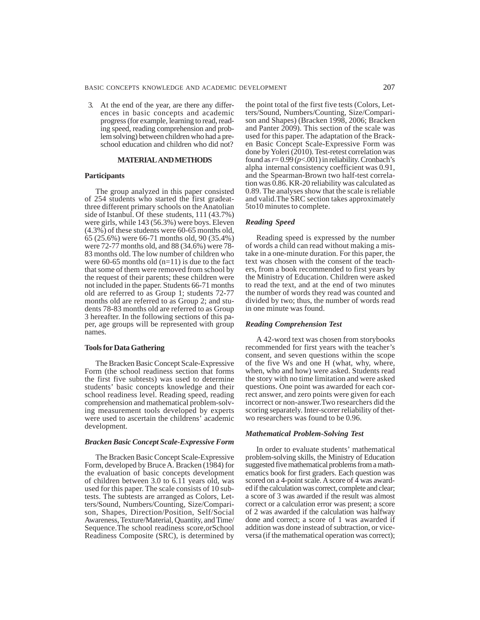3. At the end of the year, are there any differences in basic concepts and academic progress (for example, learning to read, reading speed, reading comprehension and problem solving) between children who had a preschool education and children who did not?

# **MATERIAL AND METHODS**

# **Participants**

The group analyzed in this paper consisted of 254 students who started the first gradeatthree different primary schools on the Anatolian side of Istanbul. Of these students, 111 (43.7%) were girls, while 143 (56.3%) were boys. Eleven (4.3%) of these students were 60-65 months old, 65 (25.6%) were 66-71 months old, 90 (35.4%) were 72-77 months old, and 88 (34.6%) were 78- 83 months old. The low number of children who were 60-65 months old  $(n=11)$  is due to the fact that some of them were removed from school by the request of their parents; these children were not included in the paper. Students 66-71 months old are referred to as Group 1; students 72-77 months old are referred to as Group 2; and students 78-83 months old are referred to as Group 3 hereafter. In the following sections of this paper, age groups will be represented with group names.

#### **Tools for Data Gathering**

The Bracken Basic Concept Scale-Expressive Form (the school readiness section that forms the first five subtests) was used to determine students' basic concepts knowledge and their school readiness level. Reading speed, reading comprehension and mathematical problem-solving measurement tools developed by experts were used to ascertain the childrens' academic development.

## *Bracken Basic Concept Scale-Expressive Form*

The Bracken Basic Concept Scale-Expressive Form, developed by Bruce A. Bracken (1984) for the evaluation of basic concepts development of children between 3.0 to 6.11 years old, was used for this paper. The scale consists of 10 subtests. The subtests are arranged as Colors, Letters/Sound, Numbers/Counting, Size/Comparison, Shapes, Direction/Position, Self/Social Awareness, Texture/Material, Quantity, and Time/ Sequence.The school readiness score,orSchool Readiness Composite (SRC), is determined by

the point total of the first five tests (Colors, Letters/Sound, Numbers/Counting, Size/Comparison and Shapes) (Bracken 1998, 2006; Bracken and Panter 2009). This section of the scale was used for this paper. The adaptation of the Bracken Basic Concept Scale-Expressive Form was done by Yoleri (2010). Test-retest correlation was found as *r*= 0.99 (*p*<.001) in reliability. Cronbach's alpha internal consistency coefficient was 0.91, and the Spearman-Brown two half-test correlation was 0.86. KR-20 reliability was calculated as 0.89. The analyses show that the scale is reliable and valid.The SRC section takes approximately 5to10 minutes to complete.

## *Reading Speed*

Reading speed is expressed by the number of words a child can read without making a mistake in a one-minute duration. For this paper, the text was chosen with the consent of the teachers, from a book recommended to first years by the Ministry of Education. Children were asked to read the text, and at the end of two minutes the number of words they read was counted and divided by two; thus, the number of words read in one minute was found.

#### *Reading Comprehension Test*

A 42-word text was chosen from storybooks recommended for first years with the teacher's consent, and seven questions within the scope of the five Ws and one H (what, why, where, when, who and how) were asked. Students read the story with no time limitation and were asked questions. One point was awarded for each correct answer, and zero points were given for each incorrect or non-answer.Two researchers did the scoring separately. Inter-scorer reliability of thetwo researchers was found to be 0.96.

# *Mathematical Problem-Solving Test*

In order to evaluate students' mathematical problem-solving skills, the Ministry of Education suggested five mathematical problems from a mathematics book for first graders. Each question was scored on a 4-point scale. A score of 4 was awarded if the calculation was correct, complete and clear; a score of 3 was awarded if the result was almost correct or a calculation error was present; a score of 2 was awarded if the calculation was halfway done and correct; a score of 1 was awarded if addition was done instead of subtraction, or viceversa (if the mathematical operation was correct);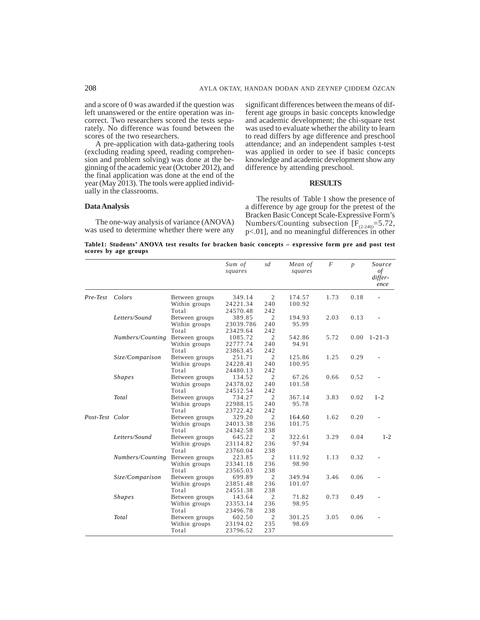and a score of 0 was awarded if the question was left unanswered or the entire operation was incorrect. Two researchers scored the tests separately. No difference was found between the scores of the two researchers.

A pre-application with data-gathering tools (excluding reading speed, reading comprehension and problem solving) was done at the beginning of the academic year (October 2012), and the final application was done at the end of the year (May 2013). The tools were applied individually in the classrooms.

## **Data Analysis**

The one-way analysis of variance (ANOVA) was used to determine whether there were any significant differences between the means of different age groups in basic concepts knowledge and academic development; the chi-square test was used to evaluate whether the ability to learn to read differs by age difference and preschool attendance; and an independent samples t-test was applied in order to see if basic concepts knowledge and academic development show any difference by attending preschool.

## **RESULTS**

The results of Table 1 show the presence of a difference by age group for the pretest of the Bracken Basic Concept Scale-Expressive Form's Numbers/Counting subsection  $[F_{(2-240)}=5.72]$ , p<.01], and no meaningful differences in other

| Table1: Students' ANOVA test results for bracken basic concepts – expressive form pre and post test |  |  |  |  |
|-----------------------------------------------------------------------------------------------------|--|--|--|--|
| scores by age groups                                                                                |  |  |  |  |

|                 |                  |                | Sum of<br>squares | sd             | Mean of<br>squares | F    | $\boldsymbol{p}$ | Source<br>of<br>differ-<br>ence |
|-----------------|------------------|----------------|-------------------|----------------|--------------------|------|------------------|---------------------------------|
| Pre-Test        | Colors           | Between groups | 349.14            | 2              | 174.57             | 1.73 | 0.18             |                                 |
|                 |                  | Within groups  | 24221.34          | 240            | 100.92             |      |                  |                                 |
|                 |                  | Total          | 24570.48          | 242            |                    |      |                  |                                 |
|                 | Letters/Sound    | Between groups | 389.85            | $\overline{2}$ | 194.93             | 2.03 | 0.13             |                                 |
|                 |                  | Within groups  | 23039.786         | 240            | 95.99              |      |                  |                                 |
|                 |                  | Total          | 23429.64          | 242            |                    |      |                  |                                 |
|                 | Numbers/Counting | Between groups | 1085.72           | $\overline{2}$ | 542.86             | 5.72 | 0.00             | $1 - 21 - 3$                    |
|                 |                  | Within groups  | 22777.74          | 240            | 94.91              |      |                  |                                 |
|                 |                  | Total          | 23863.45          | 242            |                    |      |                  |                                 |
|                 | Size/Comparison  | Between groups | 251.71            | $\overline{2}$ | 125.86             | 1.25 | 0.29             |                                 |
|                 |                  | Within groups  | 24228.41          | 240            | 100.95             |      |                  |                                 |
|                 |                  | Total          | 24480.13          | 242            |                    |      |                  |                                 |
|                 | <b>Shapes</b>    | Between groups | 134.52            | $\overline{2}$ | 67.26              | 0.66 | 0.52             |                                 |
|                 |                  | Within groups  | 24378.02          | 240            | 101.58             |      |                  |                                 |
|                 |                  | Total          | 24512.54          | 242            |                    |      |                  |                                 |
|                 | Total            | Between groups | 734.27            | $\overline{2}$ | 367.14             | 3.83 | 0.02             | $1 - 2$                         |
|                 |                  | Within groups  | 22988.15          | 240            | 95.78              |      |                  |                                 |
|                 |                  | Total          | 23722.42          | 242            |                    |      |                  |                                 |
| Post-Test Color |                  | Between groups | 329.20            | $\overline{2}$ | 164.60             | 1.62 | 0.20             |                                 |
|                 |                  | Within groups  | 24013.38          | 236            | 101.75             |      |                  |                                 |
|                 |                  | Total          | 24342.58          | 238            |                    |      |                  |                                 |
|                 | Letters/Sound    | Between groups | 645.22            | $\mathfrak{2}$ | 322.61             | 3.29 | 0.04             | $1 - 2$                         |
|                 |                  | Within groups  | 23114.82          | 236            | 97.94              |      |                  |                                 |
|                 |                  | Total          | 23760.04          | 238            |                    |      |                  |                                 |
|                 | Numbers/Counting | Between groups | 223.85            | 2              | 111.92             | 1.13 | 0.32             |                                 |
|                 |                  | Within groups  | 23341.18          | 236            | 98.90              |      |                  |                                 |
|                 |                  | Total          | 23565.03          | 238            |                    |      |                  |                                 |
|                 | Size/Comparison  | Between groups | 699.89            | $\mathfrak{2}$ | 349.94             | 3.46 | 0.06             |                                 |
|                 |                  | Within groups  | 23851.48          | 236            | 101.07             |      |                  |                                 |
|                 |                  | Total          | 24551.38          | 238            |                    |      |                  |                                 |
|                 | <b>Shapes</b>    | Between groups | 143.64            | $\overline{2}$ | 71.82              | 0.73 | 0.49             |                                 |
|                 |                  | Within groups  | 23353.14          | 236            | 98.95              |      |                  |                                 |
|                 |                  | Total          | 23496.78          | 238            |                    |      |                  |                                 |
|                 | Total            | Between groups | 602.50            | $\overline{c}$ | 301.25             | 3.05 | 0.06             |                                 |
|                 |                  | Within groups  | 23194.02          | 235            | 98.69              |      |                  |                                 |
|                 |                  | Total          | 23796.52          | 237            |                    |      |                  |                                 |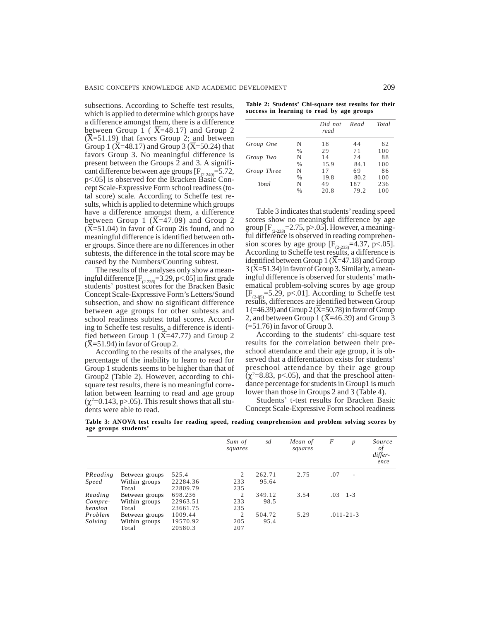subsections. According to Scheffe test results, which is applied to determine which groups have a difference amongst them, there is a difference between Group 1 ( $\overline{X}$ =48.17) and Group 2  $({\overline{X}}=51.19)$  that favors Group 2; and between Group 1 ( $\bar{X}$ =48.17) and Group 3 (X=50.24) that favors Group 3. No meaningful difference is present between the Groups 2 and 3. A significant difference between age groups  $[F_{(2-240)}=5.72,$ p<.05] is observed for the Bracken Basic Concept Scale-Expressive Form school readiness (total score) scale. According to Scheffe test results, which is applied to determine which groups have a difference amongst them, a difference between Group 1  $(X=47.09)$  and Group 2 (X=51.04) in favor of Group 2is found, and no meaningful difference is identified between other groups. Since there are no differences in other subtests, the difference in the total score may be caused by the Numbers/Counting subtest.

The results of the analyses only show a meaningful difference  $[F_{(2,236)}=3.29, p<.05]$  in first grade students' posttest scores for the Bracken Basic Concept Scale-Expressive Form's Letters/Sound subsection, and show no significant difference between age groups for other subtests and school readiness subtest total scores. According to Scheffe test results, a difference is identified between Group 1 ( $\overline{X}$ =47.77) and Group 2  $({\overline{X}}=51.94)$  in favor of Group 2.

According to the results of the analyses, the percentage of the inability to learn to read for Group 1 students seems to be higher than that of Group2 (Table 2). However, according to chisquare test results, there is no meaningful correlation between learning to read and age group  $(\chi^2=0.143, p>0.05)$ . This result shows that all students were able to read.

|  | Table 2: Students' Chi-square test results for their |  |  |  |  |
|--|------------------------------------------------------|--|--|--|--|
|  | success in learning to read by age groups            |  |  |  |  |

|             |               | Did not<br>read | Read | Total |
|-------------|---------------|-----------------|------|-------|
| Group One   | N             | 18              | 44   | 62    |
|             | $\%$          | 29              | 71   | 100   |
| Group Two   | N             | 14              | 74   | 88    |
|             | $\frac{0}{0}$ | 15.9            | 84.1 | 100   |
| Group Three | N             | 17              | 69   | 86    |
|             | $\frac{0}{0}$ | 19.8            | 80.2 | 100   |
| Total       | N             | 49              | 187  | 236   |
|             | $\frac{0}{0}$ | 20.8            | 79.2 | 100   |

Table 3 indicates that students' reading speed scores show no meaningful difference by age group  $[F_{(2-233)}=2.75, p>0.05]$ . However, a meaningful difference is observed in reading comprehension scores by age group  $[F_{(2-233)}=4.37, p<.05]$ . According to Scheffe test results, a difference is identified between Group 1 (X=47.18) and Group  $3(\overline{X}=51.34)$  in favor of Group 3. Similarly, a meaningful difference is observed for students' mathematical problem-solving scores by age group  $[F_{(2,05)}=5.29, p<0.1]$ . According to Scheffe test results, differences are identified between Group  $1$  (=46.39) and Group 2 (X=50.78) in favor of Group 2, and between Group 1 ( $\overline{X}$ =46.39) and Group 3  $(=51.76)$  in favor of Group 3.

According to the students' chi-square test results for the correlation between their preschool attendance and their age group, it is observed that a differentiation exists for students' preschool attendance by their age group  $(\chi^2 = 8.83, \text{ p} < .05)$ , and that the preschool attendance percentage for students in Group1 is much lower than those in Groups 2 and 3 (Table 4).

Students' t-test results for Bracken Basic Concept Scale-Expressive Form school readiness

**Table 3: ANOVA test results for reading speed, reading comprehension and problem solving scores by age groups students'**

|              |                        |                   | Sum of<br>squares | sd              | Mean of<br>squares | F   | $\boldsymbol{p}$ | Source<br>οf<br>differ-<br>ence |
|--------------|------------------------|-------------------|-------------------|-----------------|--------------------|-----|------------------|---------------------------------|
| PReading     | Between groups         | 525.4<br>22284.36 | 2<br>233          | 262.71<br>95.64 | 2.75               | .07 | ٠                |                                 |
| <i>Speed</i> | Within groups<br>Total | 22809.79          | 235               |                 |                    |     |                  |                                 |
| Reading      | Between groups         | 698.236           | 2                 | 349.12          | 3.54               |     | $.03 \quad 1-3$  |                                 |
| Compre-      | Within groups          | 22963.51          | 233               | 98.5            |                    |     |                  |                                 |
| hension      | Total                  | 23661.75          | 235               |                 |                    |     |                  |                                 |
| Problem      | Between groups         | 1009.44           | 2                 | 504.72          | 5.29               |     | $.011 - 21 - 3$  |                                 |
| Solving      | Within groups          | 19570.92          | 205               | 95.4            |                    |     |                  |                                 |
|              | Total                  | 20580.3           | 207               |                 |                    |     |                  |                                 |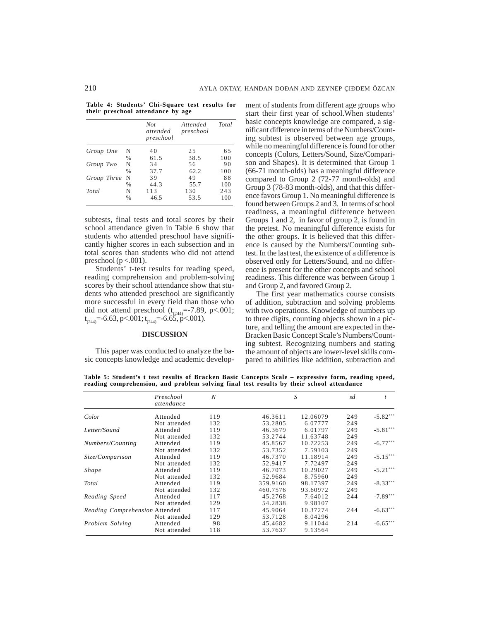**Table 4: Students' Chi-Square test results for their preschool attendance by age**

|             |               | <b>Not</b><br>attended<br>preschool | Attended<br>preschool | Total |
|-------------|---------------|-------------------------------------|-----------------------|-------|
| Group One   | N             | 40                                  | 25                    | 65    |
|             | $\frac{0}{0}$ | 61.5                                | 38.5                  | 100   |
| Group Two   | N             | 34                                  | 56                    | 90    |
|             | $\%$          | 37.7                                | 62.2                  | 100   |
| Group Three | N             | 39                                  | 49                    | 88    |
|             | $\%$          | 44.3                                | 55.7                  | 100   |
| Total       | N             | 113                                 | 130                   | 243   |
|             | $\%$          | 46.5                                | 53.5                  | 100   |

subtests, final tests and total scores by their school attendance given in Table 6 show that students who attended preschool have significantly higher scores in each subsection and in total scores than students who did not attend preschool ( $p < .001$ ).

Students' t-test results for reading speed, reading comprehension and problem-solving scores by their school attendance show that students who attended preschool are significantly more successful in every field than those who did not attend preschool  $(t_{(244)} = 7.89, \text{ p} < 0.001;$  $t_{(244)} = -6.63$ , p<.001;  $t_{(244)} = -6.65$ , p<.001).

# **DISCUSSION**

This paper was conducted to analyze the basic concepts knowledge and academic development of students from different age groups who start their first year of school.When students' basic concepts knowledge are compared, a significant difference in terms of the Numbers/Counting subtest is observed between age groups, while no meaningful difference is found for other concepts (Colors, Letters/Sound, Size/Comparison and Shapes). It is determined that Group 1 (66-71 month-olds) has a meaningful difference compared to Group 2 (72-77 month-olds) and Group 3 (78-83 month-olds), and that this difference favors Group 1. No meaningful difference is found between Groups 2 and 3. In terms of school readiness, a meaningful difference between Groups 1 and 2, in favor of group 2, is found in the pretest. No meaningful difference exists for the other groups. It is believed that this difference is caused by the Numbers/Counting subtest. In the last test, the existence of a difference is observed only for Letters/Sound, and no difference is present for the other concepts and school readiness. This difference was between Group 1 and Group 2, and favored Group 2.

The first year mathematics course consists of addition, subtraction and solving problems with two operations. Knowledge of numbers up to three digits, counting objects shown in a picture, and telling the amount are expected in the-Bracken Basic Concept Scale's Numbers/Counting subtest. Recognizing numbers and stating the amount of objects are lower-level skills compared to abilities like addition, subtraction and

**Table 5: Student's t test results of Bracken Basic Concepts Scale – expressive form, reading speed, reading comprehension, and problem solving final test results by their school attendance**

|                                | Preschool<br>attendance | N   |          | S        |     |            |
|--------------------------------|-------------------------|-----|----------|----------|-----|------------|
| Color                          | Attended                | 119 | 46.3611  | 12.06079 | 249 | $-5.82***$ |
|                                | Not attended            | 132 | 53.2805  | 6.07777  | 249 |            |
| Letter/Sound                   | Attended                | 119 | 46.3679  | 6.01797  | 249 | $-5.81***$ |
|                                | Not attended            | 132 | 53.2744  | 11.63748 | 249 |            |
| Numbers/Counting               | Attended                | 119 | 45.8567  | 10.72253 | 249 | $-6.77***$ |
|                                | Not attended            | 132 | 53.7352  | 7.59103  | 249 |            |
| Size/Comparison                | Attended                | 119 | 46.7370  | 11.18914 | 249 | $-5.15***$ |
|                                | Not attended            | 132 | 52.9417  | 7.72497  | 249 |            |
| Shape                          | Attended                | 119 | 46.7073  | 10.29027 | 249 | $-5.21***$ |
|                                | Not attended            | 132 | 52.9684  | 8.75960  | 249 |            |
| Total                          | Attended                | 119 | 359.9160 | 98.17397 | 249 | $-8.33***$ |
|                                | Not attended            | 132 | 460.7576 | 93.60972 | 249 |            |
| Reading Speed                  | Attended                | 117 | 45.2768  | 7.64012  | 244 | $-7.89***$ |
|                                | Not attended            | 129 | 54.2838  | 9.98107  |     |            |
| Reading Comprehension Attended |                         | 117 | 45.9064  | 10.37274 | 244 | $-6.63***$ |
|                                | Not attended            | 129 | 53.7128  | 8.04296  |     |            |
| Problem Solving                | Attended                | 98  | 45.4682  | 9.11044  | 214 | $-6.65**$  |
|                                | Not attended            | 118 | 53.7637  | 9.13564  |     |            |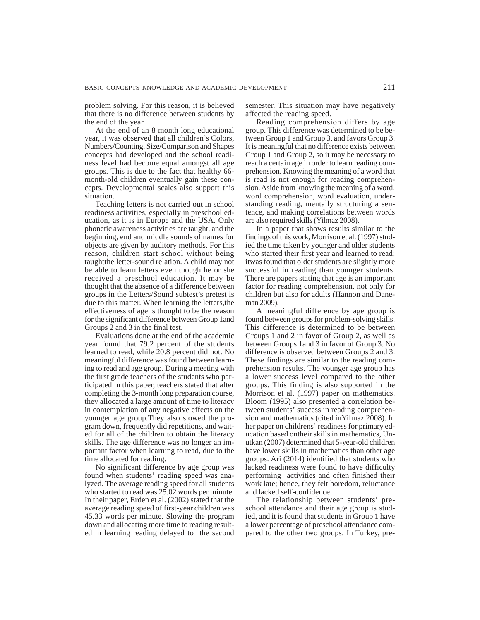problem solving. For this reason, it is believed that there is no difference between students by the end of the year.

At the end of an 8 month long educational year, it was observed that all children's Colors, Numbers/Counting, Size/Comparison and Shapes concepts had developed and the school readiness level had become equal amongst all age groups. This is due to the fact that healthy 66 month-old children eventually gain these concepts. Developmental scales also support this situation.

Teaching letters is not carried out in school readiness activities, especially in preschool education, as it is in Europe and the USA. Only phonetic awareness activities are taught, and the beginning, end and middle sounds of names for objects are given by auditory methods. For this reason, children start school without being taughtthe letter-sound relation. A child may not be able to learn letters even though he or she received a preschool education. It may be thought that the absence of a difference between groups in the Letters/Sound subtest's pretest is due to this matter. When learning the letters,the effectiveness of age is thought to be the reason for the significant difference between Group 1and Groups 2 and 3 in the final test.

Evaluations done at the end of the academic year found that 79.2 percent of the students learned to read, while 20.8 percent did not. No meaningful difference was found between learning to read and age group. During a meeting with the first grade teachers of the students who participated in this paper, teachers stated that after completing the 3-month long preparation course, they allocated a large amount of time to literacy in contemplation of any negative effects on the younger age group.They also slowed the program down, frequently did repetitions, and waited for all of the children to obtain the literacy skills. The age difference was no longer an important factor when learning to read, due to the time allocated for reading.

No significant difference by age group was found when students' reading speed was analyzed. The average reading speed for all students who started to read was 25.02 words per minute. In their paper, Erden et al. (2002) stated that the average reading speed of first-year children was 45.33 words per minute. Slowing the program down and allocating more time to reading resulted in learning reading delayed to the second semester. This situation may have negatively affected the reading speed.

Reading comprehension differs by age group. This difference was determined to be between Group 1 and Group 3, and favors Group 3. It is meaningful that no difference exists between Group 1 and Group 2, so it may be necessary to reach a certain age in order to learn reading comprehension. Knowing the meaning of a word that is read is not enough for reading comprehension. Aside from knowing the meaning of a word, word comprehension, word evaluation, understanding reading, mentally structuring a sentence, and making correlations between words are also required skills (Yilmaz 2008).

In a paper that shows results similar to the findings of this work, Morrison et al. (1997) studied the time taken by younger and older students who started their first year and learned to read; itwas found that older students are slightly more successful in reading than younger students. There are papers stating that age is an important factor for reading comprehension, not only for children but also for adults (Hannon and Daneman 2009).

A meaningful difference by age group is found between groups for problem-solving skills. This difference is determined to be between Groups 1 and 2 in favor of Group 2, as well as between Groups 1and 3 in favor of Group 3. No difference is observed between Groups 2 and 3. These findings are similar to the reading comprehension results. The younger age group has a lower success level compared to the other groups. This finding is also supported in the Morrison et al. (1997) paper on mathematics. Bloom (1995) also presented a correlation between students' success in reading comprehension and mathematics (cited inYilmaz 2008). In her paper on childrens' readiness for primary education based ontheir skills in mathematics, Unutkan (2007) determined that 5-year-old children have lower skills in mathematics than other age groups. Ari (2014) identified that students who lacked readiness were found to have difficulty performing activities and often finished their work late; hence, they felt boredom, reluctance and lacked self-confidence.

The relationship between students' preschool attendance and their age group is studied, and it is found that students in Group 1 have a lower percentage of preschool attendance compared to the other two groups. In Turkey, pre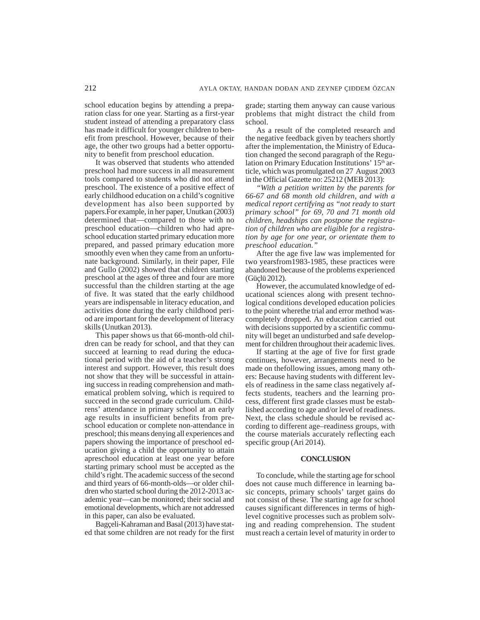school education begins by attending a preparation class for one year. Starting as a first-year student instead of attending a preparatory class has made it difficult for younger children to benefit from preschool. However, because of their age, the other two groups had a better opportunity to benefit from preschool education.

It was observed that students who attended preschool had more success in all measurement tools compared to students who did not attend preschool. The existence of a positive effect of early childhood education on a child's cognitive development has also been supported by papers.For example, in her paper, Unutkan (2003) determined that—compared to those with no preschool education—children who had apreschool education started primary education more prepared, and passed primary education more smoothly even when they came from an unfortunate background. Similarly, in their paper, File and Gullo (2002) showed that children starting preschool at the ages of three and four are more successful than the children starting at the age of five. It was stated that the early childhood years are indispensable in literacy education, and activities done during the early childhood period are important for the development of literacy skills (Unutkan 2013).

This paper shows us that 66-month-old children can be ready for school, and that they can succeed at learning to read during the educational period with the aid of a teacher's strong interest and support. However, this result does not show that they will be successful in attaining success in reading comprehension and mathematical problem solving, which is required to succeed in the second grade curriculum. Childrens' attendance in primary school at an early age results in insufficient benefits from preschool education or complete non-attendance in preschool; this means denying all experiences and papers showing the importance of preschool education giving a child the opportunity to attain apreschool education at least one year before starting primary school must be accepted as the child's right. The academic success of the second and third years of 66-month-olds—or older children who started school during the 2012-2013 academic year—can be monitored; their social and emotional developments, which are not addressed in this paper, can also be evaluated.

Bagçeli-Kahraman and Basal (2013) have stated that some children are not ready for the first grade; starting them anyway can cause various problems that might distract the child from school.

As a result of the completed research and the negative feedback given by teachers shortly after the implementation, the Ministry of Education changed the second paragraph of the Regulation on Primary Education Institutions' 15<sup>th</sup> article, which was promulgated on 27 August 2003 in the Official Gazette no: 25212 (MEB 2013):

*"With a petition written by the parents for 66-67 and 68 month old children, and with a medical report certifying as "not ready to start primary school" for 69, 70 and 71 month old children, headships can postpone the registration of children who are eligible for a registration by age for one year, or orientate them to preschool education."*

After the age five law was implemented for two yearsfrom1983-1985, these practices were abandoned because of the problems experienced (Güçlü 2012).

However, the accumulated knowledge of educational sciences along with present technological conditions developed education policies to the point wherethe trial and error method wascompletely dropped. An education carried out with decisions supported by a scientific community will beget an undisturbed and safe development for children throughout their academic lives.

If starting at the age of five for first grade continues, however, arrangements need to be made on thefollowing issues, among many others: Because having students with different levels of readiness in the same class negatively affects students, teachers and the learning process, different first grade classes must be established according to age and/or level of readiness. Next, the class schedule should be revised according to different age–readiness groups, with the course materials accurately reflecting each specific group (Ari 2014).

## **CONCLUSION**

To conclude, while the starting age for school does not cause much difference in learning basic concepts, primary schools' target gains do not consist of these. The starting age for school causes significant differences in terms of highlevel cognitive processes such as problem solving and reading comprehension. The student must reach a certain level of maturity in order to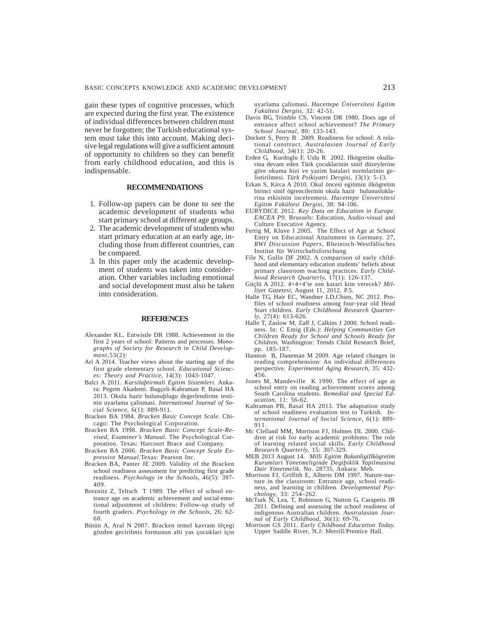gain these types of cognitive processes, which are expected during the first year. The existence of individual differences between children must never be forgotten; the Turkish educational system must take this into account. Making decisive legal regulations will give a sufficient amount of opportunity to children so they can benefit from early childhood education, and this is indispensable.

## **RECOMMENDATIONS**

- 1. Follow-up papers can be done to see the academic development of students who start primary school at different age groups.
- 2. The academic development of students who start primary education at an early age, including those from different countries, can be compared.
- 3. In this paper only the academic development of students was taken into consideration. Other variables including emotional and social development must also be taken into consideration.

## **REFERENCES**

- Alexander KL, Entwistle DR 1988. Achievement in the first 2 years of school: Patterns and processes. *Monographs of Society for Research in Child Development,*53(2):
- Ari A 2014. Teacher views about the starting age of the first grade elementary school. *Educational Sciences: Theory and Practice*, 14(3): 1043-1047.
- Balci A 2011. *Karsilaþtirmali Egitim Sistemleri*. Ankara: Pegem Akademi. Bagçeli-Kahraman P, Basal HA 2013. Okula hazir bulunuþlugu degerlendirme testinin uyarlama çalismasi. *International Journal of Social Science*, 6(1): 889-911.
- Bracken BA 1984. *Bracken Basic Concept Scale*. Chicago: The Psychological Corporation.
- Bracken BA 1998. *Bracken Basic Concept Scale-Revised, Examiner's Manual.* The Psychological Corporation. Texas: Harcourt Brace and Company.
- Bracken BA 2006. *Bracken Basic Concept Scale Expressive Manual.*Texas: Pearson Inc.
- Bracken BA, Panter JE 2009. Validity of the Bracken school readiness assessment for predicting first grade readiness. *Psychology in the Schools*, 46(5): 397- 409.
- Breznitz Z, Teltsch T 1989. The effect of school entrance age on academic achievement and social-emotional adjustment of children: Follow-up study of fourth graders. *Psychology in the Schools,* 26: 62- 68.
- Bütün A, Aral N 2007. Bracken temel kavram ölçegi gözden gecirilmis formunun alti yas çocuklari için

uyarlama çalismasi. *Hacettepe Üniversitesi Egitim Fakültesi Dergisi,* 32: 42-51.

- Davis BG, Trimble CS, Vincent DR 1980. Does age of entrance affect school achievement? *The Primary School Journal,* 80: 133-143.
- Dockett S, Perry B 2009. Readiness for school: A relational construct. *Australasian Journal of Early Childhood,* 34(1): 20-26.
- Erden G, Kurdoglu F, Uslu R 2002. Ilkögretim okullarina devam eden Türk çocuklarinin sinif düzeylerine göre okuma hizi ve yazim hatalari normlarinin gelistirilmesi. *Türk Psikiyatri Dergisi,* 13(1): 5-13.
- Erkan S, Kirca A 2010. Okul öncesi egitimin ilkögretim birinci sinif ögrencilerinin okula hazir bulunusluklarina etkisinin incelenmesi. *Hacettepe Üniversitesi Egitim Fakültesi Dergisi,* 38: 94-106.
- EURYDICE 2012. *Key Data on Education in Europe. EACEA P9.* Brussels: Education, Audio-visual and Culture Executive Agency.
- Fertig M, Kluve J 2005. The Effect of Age at School Entry on Educational Attainment in Germany. 27, *RWI Discussion Papers,* Rheinisch-Westfälisches Institut für Wirtschaftsforschung
- File N, Gullo DF 2002. A comparison of early childhood and elementary education students' beliefs about primary classroom teaching practices. *Early Childhood Research Quarterly,* 17(1): 126-137.
- Güçlü A 2012. 4+4+4'te son karari kim verecek? *Milliyet Gazetesi*, August 11, 2012, P.5.
- Halle TG, Hair EC, Wandner LD,Chien, NC 2012. Profiles of school readiness among four-year old Head Start children. *Early Childhood Research Quarterly*, 27(4): 613-626.
- Halle T, Zaslow M, Zaff J, Calkins J 2000. School readiness. In: C Emig (Eds.): *Helping Communities Get Children Ready for School and Schools Ready for Children.* Washington: Trends Child Research Brief, pp. 185-187.
- Hannon B, Daneman M 2009. Age related changes in reading comprehension: An individual differences perspective. *Experimental Aging Research,* 35: 432- 456.
- Jones M, Mandeville K 1990. The effect of age at school entry on reading achievement scores among South Carolina students. *Remedial and Special Education,* 11: 56-62.
- Kahraman PB, Basal HA 2013. The adaptation study of school readiness evaluation test to Turkish. *International Journal of Social Science,* 6(1): 889- 911.
- Mc Clelland MM, Morrison FJ, Holmes DL 2000. Children at risk for early academic problems: The role of learning related social skills. *Early Childhood Research Quarterly,* 15: 307-329.
- MEB 2013 August 14. *Milli Egitim BakanligiIlkögretim Kurumlari Yönetmeliginde Degiþiklik Yapilmasina Dair Yönetmelik*. No. 28735, Ankara: Meb.
- Morrison FJ, Griffith E, Alberts DM 1997. Nature-nurture in the classroom: Entrance age, school readiness, and learning in children. *Developmental Psychology*, 33: 254–262.
- McTurk N, Lea, T, Robinson G, Nutton G, Carapetis JR 2011. Defining and assessing the school readiness of indigenous Australian children. *Australasian Journal of Early Childhood*, 36(1): 69-76.
- Morrison GS 2011. *Early Childhood Education Today.* Upper Saddle River, N.J: Merrill/Prentice Hall.